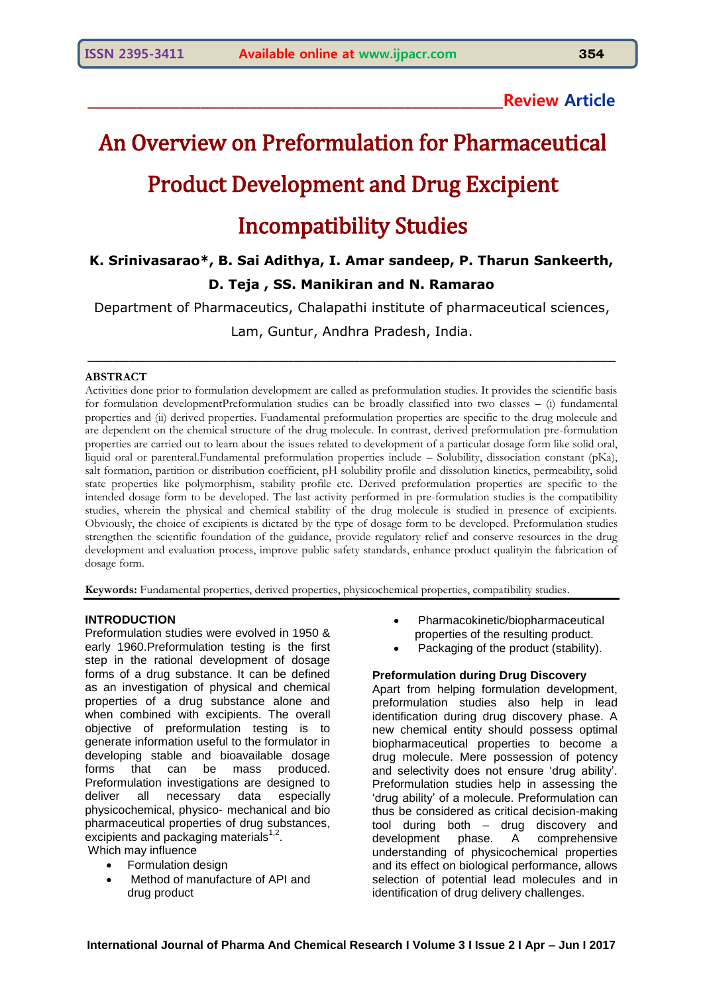# **\_\_\_\_\_\_\_\_\_\_\_\_\_\_\_\_\_\_\_\_\_\_\_\_\_\_\_\_\_\_\_\_\_\_\_\_\_\_\_\_\_\_\_\_\_\_\_\_\_\_\_\_\_\_\_\_\_\_\_Review Article**

# An Overview on Preformulation for Pharmaceutical Product Development and Drug Excipient

# Incompatibility Studies

# **K. Srinivasarao\*, B. Sai Adithya, I. Amar sandeep, P. Tharun Sankeerth, D. Teja , SS. Manikiran and N. Ramarao**

Department of Pharmaceutics, Chalapathi institute of pharmaceutical sciences,

Lam, Guntur, Andhra Pradesh, India.  $\_$  , and the contribution of the contribution of  $\mathcal{L}_\mathcal{A}$  , and the contribution of  $\mathcal{L}_\mathcal{A}$ 

#### **ABSTRACT**

Activities done prior to formulation development are called as preformulation studies. It provides the scientific basis for formulation developmentPreformulation studies can be broadly classified into two classes – (i) fundamental properties and (ii) derived properties. Fundamental preformulation properties are specific to the drug molecule and are dependent on the chemical structure of the drug molecule. In contrast, derived preformulation pre-formulation properties are carried out to learn about the issues related to development of a particular dosage form like solid oral, liquid oral or parenteral.Fundamental preformulation properties include – Solubility, dissociation constant (pKa), salt formation, partition or distribution coefficient, pH solubility profile and dissolution kinetics, permeability, solid state properties like polymorphism, stability profile etc. Derived preformulation properties are specific to the intended dosage form to be developed. The last activity performed in pre-formulation studies is the compatibility studies, wherein the physical and chemical stability of the drug molecule is studied in presence of excipients. Obviously, the choice of excipients is dictated by the type of dosage form to be developed. Preformulation studies strengthen the scientific foundation of the guidance, provide regulatory relief and conserve resources in the drug development and evaluation process, improve public safety standards, enhance product qualityin the fabrication of dosage form.

**Keywords:** Fundamental properties, derived properties, physicochemical properties, compatibility studies.

#### **INTRODUCTION**

Preformulation studies were evolved in 1950 & early 1960.Preformulation testing is the first step in the rational development of dosage forms of a drug substance. It can be defined as an investigation of physical and chemical properties of a drug substance alone and when combined with excipients. The overall objective of preformulation testing is to generate information useful to the formulator in developing stable and bioavailable dosage forms that can be mass produced. Preformulation investigations are designed to deliver all necessary data especially physicochemical, physico- mechanical and bio pharmaceutical properties of drug substances,  $\text{excipients}$  and packaging materials<sup>1,2</sup>. Which may influence

- Formulation design
- Method of manufacture of API and drug product
- Pharmacokinetic/biopharmaceutical properties of the resulting product.
- Packaging of the product (stability).

#### **Preformulation during Drug Discovery**

Apart from helping formulation development, preformulation studies also help in lead identification during drug discovery phase. A new chemical entity should possess optimal biopharmaceutical properties to become a drug molecule. Mere possession of potency and selectivity does not ensure 'drug ability'. Preformulation studies help in assessing the 'drug ability' of a molecule. Preformulation can thus be considered as critical decision-making tool during both – drug discovery and development phase. A comprehensive understanding of physicochemical properties and its effect on biological performance, allows selection of potential lead molecules and in identification of drug delivery challenges.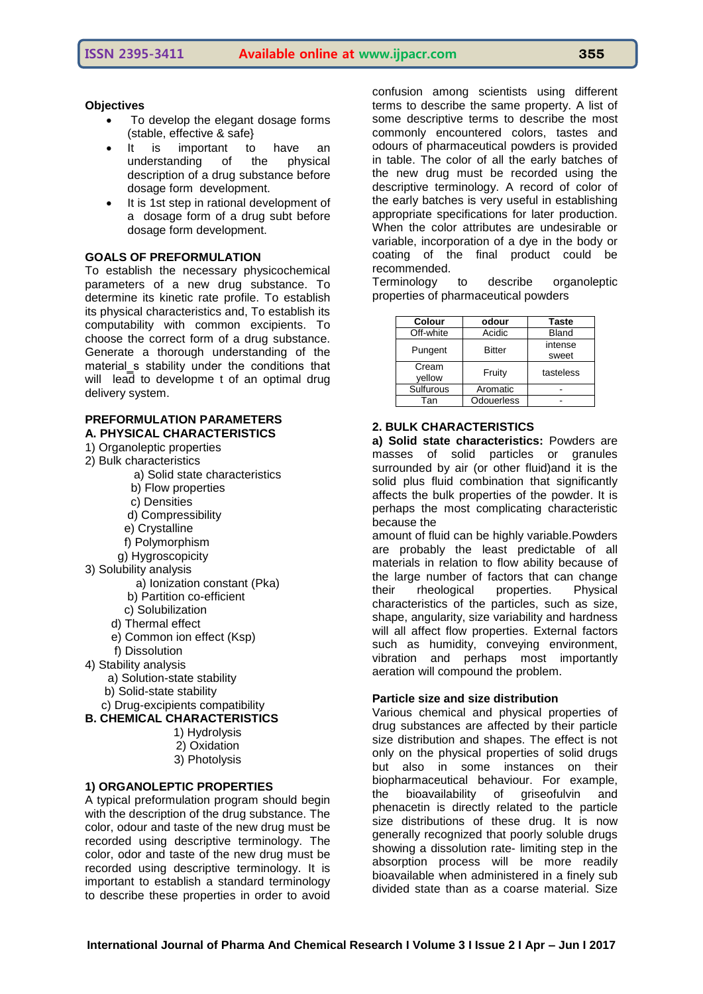#### **Objectives**

- To develop the elegant dosage forms (stable, effective & safe}
- It is important to have an understanding of the physical description of a drug substance before dosage form development.
- It is 1st step in rational development of a dosage form of a drug subt before dosage form development.

#### **GOALS OF PREFORMULATION**

To establish the necessary physicochemical parameters of a new drug substance. To determine its kinetic rate profile. To establish its physical characteristics and, To establish its computability with common excipients. To choose the correct form of a drug substance. Generate a thorough understanding of the material s stability under the conditions that will lead to developme t of an optimal drug delivery system.

#### **PREFORMULATION PARAMETERS A. PHYSICAL CHARACTERISTICS**

- 1) Organoleptic properties
- 2) Bulk characteristics
	- a) Solid state characteristics
	- b) Flow properties
	- c) Densities
	- d) Compressibility
	- e) Crystalline
	- f) Polymorphism
	- g) Hygroscopicity
- 3) Solubility analysis
	- a) Ionization constant (Pka)
	- b) Partition co-efficient
	- c) Solubilization
	- d) Thermal effect
	- e) Common ion effect (Ksp)
- f) Dissolution 4) Stability analysis
	- a) Solution-state stability
	- b) Solid-state stability
	- c) Drug-excipients compatibility
- **B. CHEMICAL CHARACTERISTICS**
	- 1) Hydrolysis 2) Oxidation 3) Photolysis
	-

#### **1) ORGANOLEPTIC PROPERTIES**

A typical preformulation program should begin with the description of the drug substance. The color, odour and taste of the new drug must be recorded using descriptive terminology. The color, odor and taste of the new drug must be recorded using descriptive terminology. It is important to establish a standard terminology to describe these properties in order to avoid

confusion among scientists using different terms to describe the same property. A list of some descriptive terms to describe the most commonly encountered colors, tastes and odours of pharmaceutical powders is provided in table. The color of all the early batches of the new drug must be recorded using the descriptive terminology. A record of color of the early batches is very useful in establishing appropriate specifications for later production. When the color attributes are undesirable or variable, incorporation of a dye in the body or coating of the final product could be recommended.

Terminology to describe organoleptic properties of pharmaceutical powders

| odour      | <b>Taste</b>  |
|------------|---------------|
| Acidic     | <b>Bland</b>  |
| intense    |               |
|            | sweet         |
| Fruity     | tasteless     |
| Aromatic   |               |
| Odouerless |               |
|            | <b>Bitter</b> |

#### **2. BULK CHARACTERISTICS**

**a) Solid state characteristics:** Powders are masses of solid particles or granules surrounded by air (or other fluid)and it is the solid plus fluid combination that significantly affects the bulk properties of the powder. It is perhaps the most complicating characteristic because the

amount of fluid can be highly variable.Powders are probably the least predictable of all materials in relation to flow ability because of the large number of factors that can change their rheological properties. Physical characteristics of the particles, such as size, shape, angularity, size variability and hardness will all affect flow properties. External factors such as humidity, conveying environment, vibration and perhaps most importantly aeration will compound the problem.

#### **Particle size and size distribution**

Various chemical and physical properties of drug substances are affected by their particle size distribution and shapes. The effect is not only on the physical properties of solid drugs but also in some instances on their biopharmaceutical behaviour. For example, the bioavailability of griseofulvin and phenacetin is directly related to the particle size distributions of these drug. It is now generally recognized that poorly soluble drugs showing a dissolution rate- limiting step in the absorption process will be more readily bioavailable when administered in a finely sub divided state than as a coarse material. Size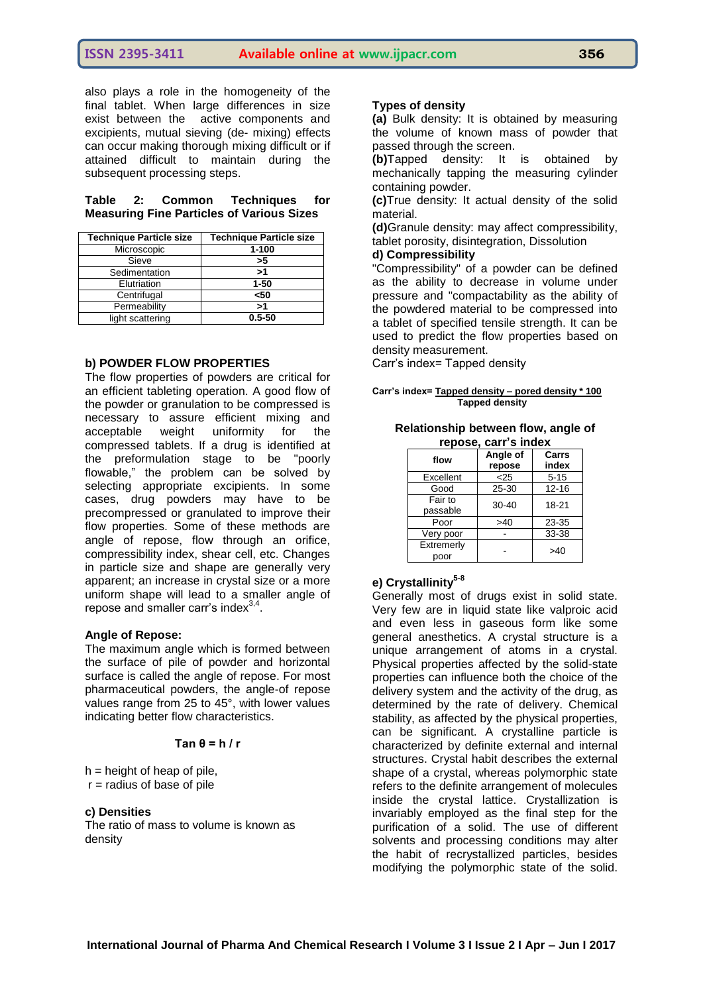also plays a role in the homogeneity of the final tablet. When large differences in size exist between the active components and excipients, mutual sieving (de- mixing) effects can occur making thorough mixing difficult or if attained difficult to maintain during the subsequent processing steps.

#### **Table 2: Common Techniques for Measuring Fine Particles of Various Sizes**

| <b>Technique Particle size</b> | <b>Technique Particle size</b> |
|--------------------------------|--------------------------------|
| Microscopic                    | $1 - 100$                      |
| Sieve                          | >5                             |
| Sedimentation                  | >1                             |
| Elutriation                    | $1 - 50$                       |
| Centrifugal                    | $50$                           |
| Permeability                   | ر-                             |
| light scattering               | $0.5 - 50$                     |

#### **b) POWDER FLOW PROPERTIES**

The flow properties of powders are critical for an efficient tableting operation. A good flow of the powder or granulation to be compressed is necessary to assure efficient mixing and acceptable weight uniformity for the compressed tablets. If a drug is identified at the preformulation stage to be "poorly flowable," the problem can be solved by selecting appropriate excipients. In some cases, drug powders may have to be precompressed or granulated to improve their flow properties. Some of these methods are angle of repose, flow through an orifice, compressibility index, shear cell, etc. Changes in particle size and shape are generally very apparent; an increase in crystal size or a more uniform shape will lead to a smaller angle of repose and smaller carr's index $3,4$ .

#### **Angle of Repose:**

The maximum angle which is formed between the surface of pile of powder and horizontal surface is called the angle of repose. For most pharmaceutical powders, the angle-of repose values range from 25 to 45°, with lower values indicating better flow characteristics.

#### **Tan θ = h / r**

 $h =$  height of heap of pile,  $r =$  radius of base of pile

#### **c) Densities**

The ratio of mass to volume is known as density

#### **Types of density**

**(a)** Bulk density: It is obtained by measuring the volume of known mass of powder that passed through the screen.

**(b)**Tapped density: It is obtained by mechanically tapping the measuring cylinder containing powder.

**(c)**True density: It actual density of the solid material.

**(d)**Granule density: may affect compressibility, tablet porosity, disintegration, Dissolution

#### **d) Compressibility**

"Compressibility" of a powder can be defined as the ability to decrease in volume under pressure and "compactability as the ability of the powdered material to be compressed into a tablet of specified tensile strength. It can be used to predict the flow properties based on density measurement.

Carr's index= Tapped density

#### **Carr's index= Tapped density – pored density \* 100 Tapped density**

#### **Relationship between flow, angle of repose, carr's index**

| flow                | Angle of<br>repose | Carrs<br>index |
|---------------------|--------------------|----------------|
| Excellent           | < 25               | $5 - 15$       |
| Good                | 25-30              | $12 - 16$      |
| Fair to<br>passable | 30-40              | 18-21          |
| Poor                | >40                | 23-35          |
| Very poor           |                    | 33-38          |
| Extremerly<br>poor  |                    | >40            |

# **e) Crystallinity5-8**

Generally most of drugs exist in solid state. Very few are in liquid state like valproic acid and even less in gaseous form like some general anesthetics. A crystal structure is a unique arrangement of atoms in a crystal. Physical properties affected by the solid-state properties can influence both the choice of the delivery system and the activity of the drug, as determined by the rate of delivery. Chemical stability, as affected by the physical properties, can be significant. A crystalline particle is characterized by definite external and internal structures. Crystal habit describes the external shape of a crystal, whereas polymorphic state refers to the definite arrangement of molecules inside the crystal lattice. Crystallization is invariably employed as the final step for the purification of a solid. The use of different solvents and processing conditions may alter the habit of recrystallized particles, besides modifying the polymorphic state of the solid.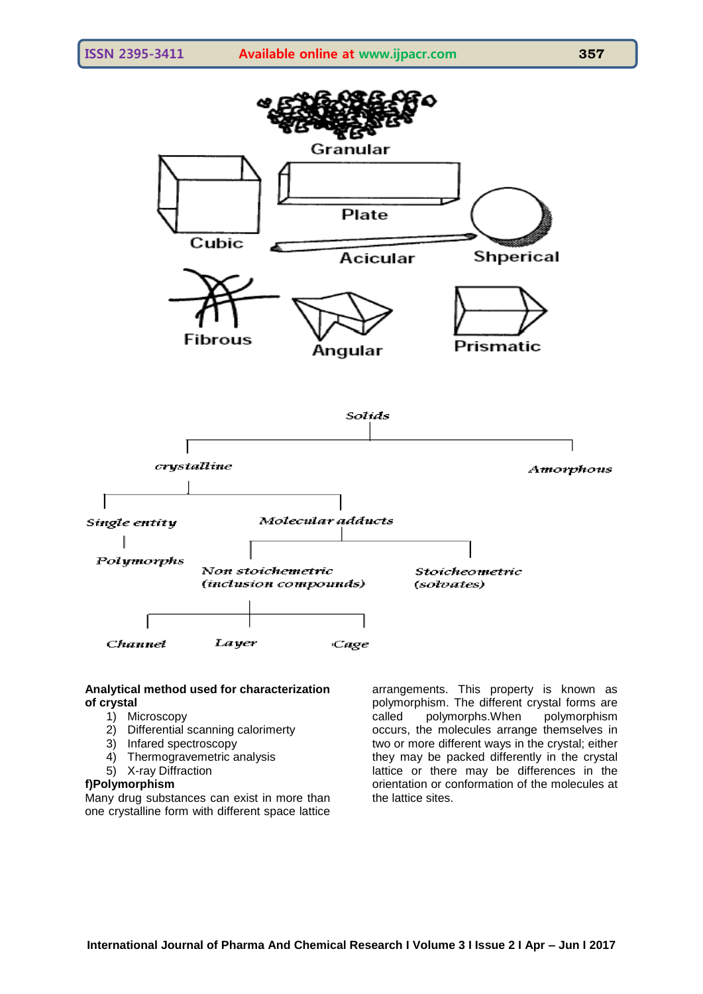

#### **Analytical method used for characterization of crystal**

- 1) Microscopy
- 2) Differential scanning calorimerty
- 3) Infared spectroscopy
- 4) Thermogravemetric analysis
- 5) X-ray Diffraction

#### **f)Polymorphism**

Many drug substances can exist in more than one crystalline form with different space lattice

arrangements. This property is known as polymorphism. The different crystal forms are called polymorphs.When polymorphism occurs, the molecules arrange themselves in two or more different ways in the crystal; either they may be packed differently in the crystal lattice or there may be differences in the orientation or conformation of the molecules at the lattice sites.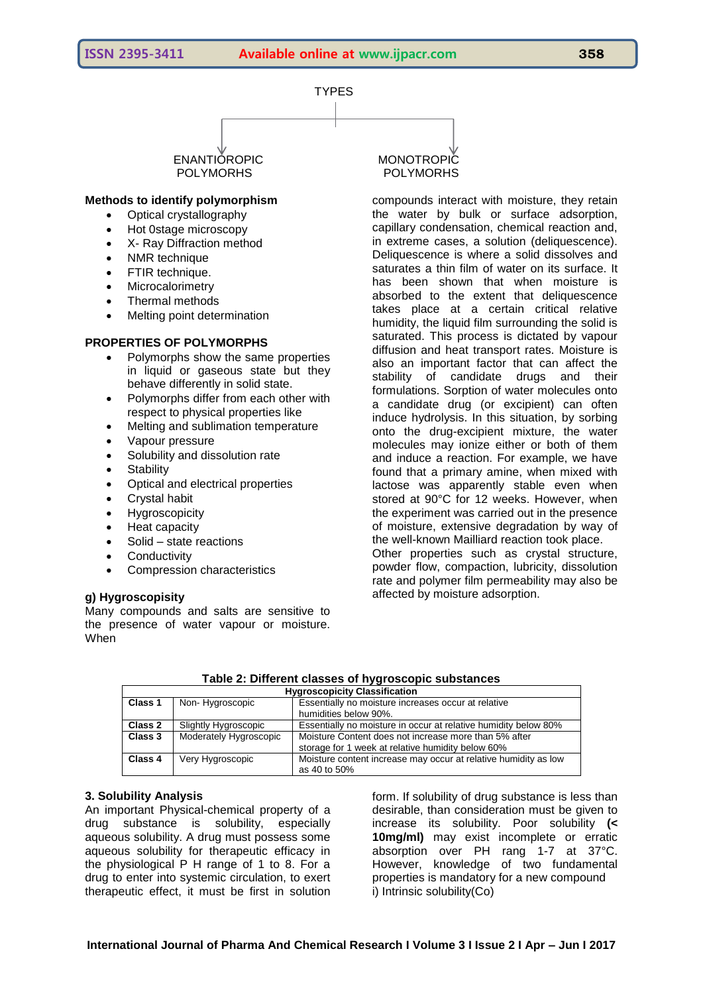

# POLYMORHS POLYMORHS

#### **Methods to identify polymorphism**

- Optical crystallography
- Hot 0stage microscopy
- X- Ray Diffraction method
- NMR technique
- FTIR technique.
- Microcalorimetry
- Thermal methods
- Melting point determination

#### **PROPERTIES OF POLYMORPHS**

- Polymorphs show the same properties in liquid or gaseous state but they behave differently in solid state.
- Polymorphs differ from each other with respect to physical properties like
- Melting and sublimation temperature
- Vapour pressure
- Solubility and dissolution rate
- Stability
- Optical and electrical properties
- Crystal habit
- Hygroscopicity
- Heat capacity
- Solid state reactions
- **Conductivity**
- Compression characteristics

# **g) Hygroscopisity**

Many compounds and salts are sensitive to the presence of water vapour or moisture. When

ENANTIOROPIC MONOTROPIC

compounds interact with moisture, they retain the water by bulk or surface adsorption, capillary condensation, chemical reaction and, in extreme cases, a solution (deliquescence). Deliquescence is where a solid dissolves and saturates a thin film of water on its surface. It has been shown that when moisture is absorbed to the extent that deliquescence takes place at a certain critical relative humidity, the liquid film surrounding the solid is saturated. This process is dictated by vapour diffusion and heat transport rates. Moisture is also an important factor that can affect the stability of candidate drugs and their formulations. Sorption of water molecules onto a candidate drug (or excipient) can often induce hydrolysis. In this situation, by sorbing onto the drug-excipient mixture, the water molecules may ionize either or both of them and induce a reaction. For example, we have found that a primary amine, when mixed with lactose was apparently stable even when stored at 90°C for 12 weeks. However, when the experiment was carried out in the presence of moisture, extensive degradation by way of the well-known Mailliard reaction took place. Other properties such as crystal structure, powder flow, compaction, lubricity, dissolution rate and polymer film permeability may also be affected by moisture adsorption.

| <b>Hygroscopicity Classification</b> |                        |                                                                 |  |  |  |
|--------------------------------------|------------------------|-----------------------------------------------------------------|--|--|--|
| Class 1                              | Non-Hygroscopic        | Essentially no moisture increases occur at relative             |  |  |  |
|                                      |                        | humidities below 90%.                                           |  |  |  |
| Class 2                              | Slightly Hygroscopic   | Essentially no moisture in occur at relative humidity below 80% |  |  |  |
| Class 3                              | Moderately Hygroscopic | Moisture Content does not increase more than 5% after           |  |  |  |
|                                      |                        | storage for 1 week at relative humidity below 60%               |  |  |  |
| Class 4                              | Very Hygroscopic       | Moisture content increase may occur at relative humidity as low |  |  |  |
|                                      |                        | as 40 to 50%                                                    |  |  |  |

#### **Table 2: Different classes of hygroscopic substances**

# **3. Solubility Analysis**

An important Physical-chemical property of a drug substance is solubility, especially aqueous solubility. A drug must possess some aqueous solubility for therapeutic efficacy in the physiological P H range of 1 to 8. For a drug to enter into systemic circulation, to exert therapeutic effect, it must be first in solution

form. If solubility of drug substance is less than desirable, than consideration must be given to increase its solubility. Poor solubility **(< 10mg/ml)** may exist incomplete or erratic absorption over PH rang 1-7 at 37°C. However, knowledge of two fundamental properties is mandatory for a new compound i) Intrinsic solubility(Co)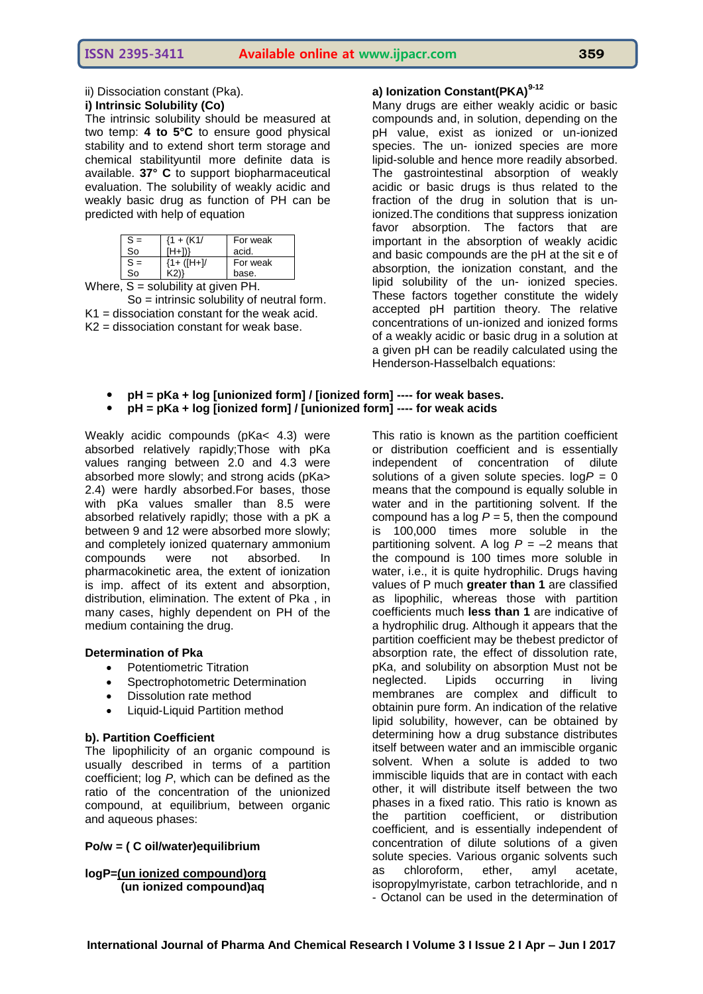ii) Dissociation constant (Pka).

#### **i) Intrinsic Solubility (Co)**

The intrinsic solubility should be measured at two temp: **4 to 5°C** to ensure good physical stability and to extend short term storage and chemical stabilityuntil more definite data is available. **37° C** to support biopharmaceutical evaluation. The solubility of weakly acidic and weakly basic drug as function of PH can be predicted with help of equation

| $S =$ | $(1 + (K1)$   | For weak |
|-------|---------------|----------|
| So    | $(H+1)$       | acid.    |
| $S =$ | $(1 + ([H+])$ | For weak |
| So    | K2))          | base.    |

Where,  $S =$  solubility at given PH.

So = intrinsic solubility of neutral form.  $K1$  = dissociation constant for the weak acid. K2 = dissociation constant for weak base.

# **a) Ionization Constant(PKA)9-12**

Many drugs are either weakly acidic or basic compounds and, in solution, depending on the pH value, exist as ionized or un-ionized species. The un- ionized species are more lipid-soluble and hence more readily absorbed. The gastrointestinal absorption of weakly acidic or basic drugs is thus related to the fraction of the drug in solution that is unionized.The conditions that suppress ionization favor absorption. The factors that are important in the absorption of weakly acidic and basic compounds are the pH at the sit e of absorption, the ionization constant, and the lipid solubility of the un- ionized species. These factors together constitute the widely accepted pH partition theory. The relative concentrations of un-ionized and ionized forms of a weakly acidic or basic drug in a solution at a given pH can be readily calculated using the Henderson-Hasselbalch equations:

- **pH = pKa + log [unionized form] / [ionized form] ---- for weak bases.**
- **pH = pKa + log [ionized form] / [unionized form] ---- for weak acids**

Weakly acidic compounds (pKa< 4.3) were absorbed relatively rapidly;Those with pKa values ranging between 2.0 and 4.3 were absorbed more slowly; and strong acids (pKa> 2.4) were hardly absorbed.For bases, those with pKa values smaller than 8.5 were absorbed relatively rapidly; those with a pK a between 9 and 12 were absorbed more slowly; and completely ionized quaternary ammonium compounds were not absorbed. In pharmacokinetic area, the extent of ionization is imp. affect of its extent and absorption, distribution, elimination. The extent of Pka , in many cases, highly dependent on PH of the medium containing the drug.

#### **Determination of Pka**

- Potentiometric Titration
- Spectrophotometric Determination
- Dissolution rate method
- Liquid-Liquid Partition method

# **b). Partition Coefficient**

The lipophilicity of an organic compound is usually described in terms of a partition coefficient; log *P*, which can be defined as the ratio of the concentration of the unionized compound, at equilibrium, between organic and aqueous phases:

# **Po/w = ( C oil/water)equilibrium**

**logP=(un ionized compound)org (un ionized compound)aq**

This ratio is known as the partition coefficient or distribution coefficient and is essentially independent of concentration of dilute solutions of a given solute species.  $logP = 0$ means that the compound is equally soluble in water and in the partitioning solvent. If the compound has a log  $P = 5$ , then the compound is 100,000 times more soluble in the partitioning solvent. A log  $P = -2$  means that the compound is 100 times more soluble in water, i.e., it is quite hydrophilic. Drugs having values of P much **greater than 1** are classified as lipophilic, whereas those with partition coefficients much **less than 1** are indicative of a hydrophilic drug. Although it appears that the partition coefficient may be thebest predictor of absorption rate, the effect of dissolution rate, pKa, and solubility on absorption Must not be neglected. Lipids occurring in living membranes are complex and difficult to obtainin pure form. An indication of the relative lipid solubility, however, can be obtained by determining how a drug substance distributes itself between water and an immiscible organic solvent. When a solute is added to two immiscible liquids that are in contact with each other, it will distribute itself between the two phases in a fixed ratio. This ratio is known as the partition coefficient, or distribution coefficient*,* and is essentially independent of concentration of dilute solutions of a given solute species. Various organic solvents such<br>as chloroform, ether, amyl acetate, as chloroform, ether, amyl acetate, isopropylmyristate, carbon tetrachloride, and n - Octanol can be used in the determination of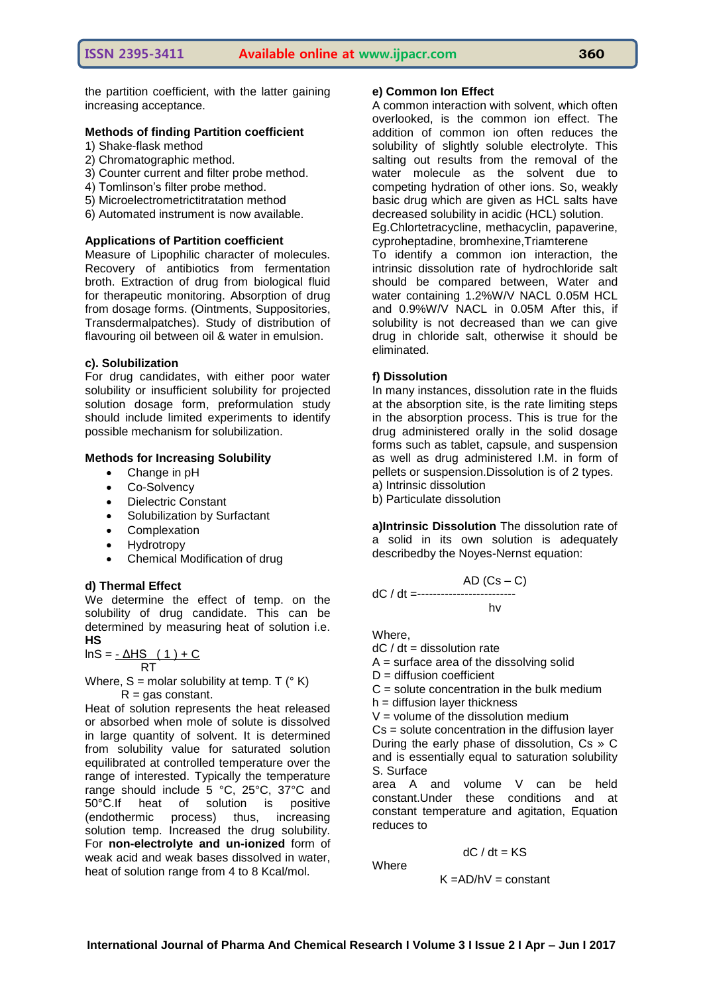the partition coefficient, with the latter gaining increasing acceptance.

#### **Methods of finding Partition coefficient**

- 1) Shake-flask method
- 2) Chromatographic method.
- 3) Counter current and filter probe method.
- 4) Tomlinson's filter probe method.
- 5) Microelectrometrictitratation method
- 6) Automated instrument is now available.

#### **Applications of Partition coefficient**

Measure of Lipophilic character of molecules. Recovery of antibiotics from fermentation broth. Extraction of drug from biological fluid for therapeutic monitoring. Absorption of drug from dosage forms. (Ointments, Suppositories, Transdermalpatches). Study of distribution of flavouring oil between oil & water in emulsion.

#### **c). Solubilization**

For drug candidates, with either poor water solubility or insufficient solubility for projected solution dosage form, preformulation study should include limited experiments to identify possible mechanism for solubilization.

#### **Methods for Increasing Solubility**

- Change in pH
- Co-Solvency
- Dielectric Constant
- Solubilization by Surfactant
- Complexation
- Hydrotropy
- Chemical Modification of drug

#### **d) Thermal Effect**

We determine the effect of temp. on the solubility of drug candidate. This can be determined by measuring heat of solution i.e. **HS**

$$
InS = \frac{1 - \Delta H S (1) + C}{RT}
$$

Where,  $S =$  molar solubility at temp. T ( $\degree$  K)  $R = gas constant$ .

Heat of solution represents the heat released or absorbed when mole of solute is dissolved in large quantity of solvent. It is determined from solubility value for saturated solution equilibrated at controlled temperature over the range of interested. Typically the temperature range should include 5 °C, 25°C, 37°C and 50°C.If heat of solution is positive (endothermic process) thus, increasing solution temp. Increased the drug solubility. For **non-electrolyte and un-ionized** form of weak acid and weak bases dissolved in water, heat of solution range from 4 to 8 Kcal/mol.

#### **e) Common Ion Effect**

A common interaction with solvent, which often overlooked, is the common ion effect. The addition of common ion often reduces the solubility of slightly soluble electrolyte. This salting out results from the removal of the water molecule as the solvent due to competing hydration of other ions. So, weakly basic drug which are given as HCL salts have decreased solubility in acidic (HCL) solution.

Eg.Chlortetracycline, methacyclin, papaverine, cyproheptadine, bromhexine,Triamterene

To identify a common ion interaction, the intrinsic dissolution rate of hydrochloride salt should be compared between, Water and water containing 1.2%W/V NACL 0.05M HCL and 0.9%W/V NACL in 0.05M After this, if solubility is not decreased than we can give drug in chloride salt, otherwise it should be eliminated.

#### **f) Dissolution**

In many instances, dissolution rate in the fluids at the absorption site, is the rate limiting steps in the absorption process. This is true for the drug administered orally in the solid dosage forms such as tablet, capsule, and suspension as well as drug administered I.M. in form of pellets or suspension.Dissolution is of 2 types. a) Intrinsic dissolution

b) Particulate dissolution

**a)Intrinsic Dissolution** The dissolution rate of a solid in its own solution is adequately describedby the Noyes-Nernst equation:

AD (Cs – C) dC / dt =------------------------ hv

Where,

**Where** 

 $dC / dt =$  dissolution rate

 $A =$  surface area of the dissolving solid

 $D =$  diffusion coefficient

 $C =$  solute concentration in the bulk medium

h = diffusion layer thickness

 $V =$  volume of the dissolution medium

Cs = solute concentration in the diffusion layer During the early phase of dissolution, Cs » C and is essentially equal to saturation solubility S. Surface

area A and volume V can be held constant.Under these conditions and at constant temperature and agitation, Equation reduces to

$$
dC / dt = KS
$$

$$
K = AD/hV = constant
$$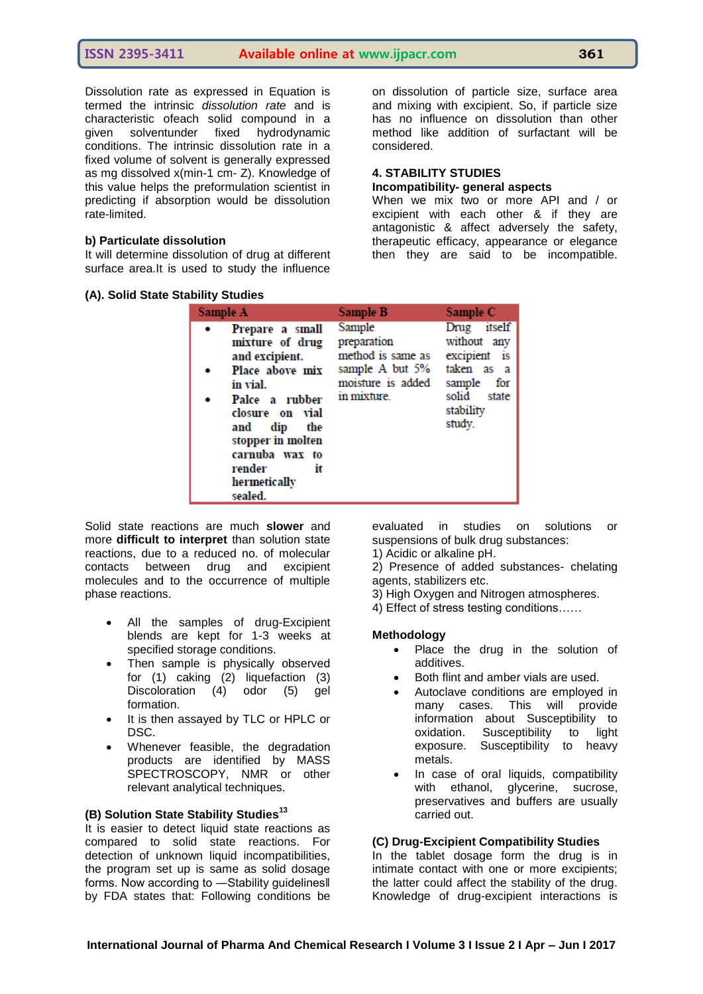Dissolution rate as expressed in Equation is termed the intrinsic *dissolution rate* and is characteristic ofeach solid compound in a given solventunder fixed hydrodynamic conditions. The intrinsic dissolution rate in a fixed volume of solvent is generally expressed as mg dissolved x(min-1 cm- Z). Knowledge of this value helps the preformulation scientist in predicting if absorption would be dissolution rate-limited.

#### **b) Particulate dissolution**

It will determine dissolution of drug at different surface area.It is used to study the influence

|  |  |  | (A). Solid State Stability Studies |  |
|--|--|--|------------------------------------|--|
|--|--|--|------------------------------------|--|

on dissolution of particle size, surface area and mixing with excipient. So, if particle size has no influence on dissolution than other method like addition of surfactant will be considered.

#### **4. STABILITY STUDIES**

#### **Incompatibility- general aspects**

When we mix two or more API and / or excipient with each other & if they are antagonistic & affect adversely the safety, therapeutic efficacy, appearance or elegance then they are said to be incompatible.

| Sample A                                                                                                                                                                                                                     | Sample B                                                                                          | Sample C                                                                                                     |
|------------------------------------------------------------------------------------------------------------------------------------------------------------------------------------------------------------------------------|---------------------------------------------------------------------------------------------------|--------------------------------------------------------------------------------------------------------------|
| Prepare a small<br>mixture of drug<br>and excipient.<br>Place above mix<br>in vial.<br>Palce a rubber<br>closure on vial<br>dip the<br>and<br>stopper in molten<br>carnuba wax to<br>render<br>it<br>hermetically<br>sealed. | Sample<br>preparation<br>method is same as<br>sample A but 5%<br>moisture is added<br>in mixture. | Drug itself<br>without any<br>excipient is<br>taken as a<br>sample for<br>solid state<br>stability<br>study. |

Solid state reactions are much **slower** and more **difficult to interpret** than solution state reactions, due to a reduced no. of molecular contacts between drug and excipient molecules and to the occurrence of multiple phase reactions.

- All the samples of drug-Excipient blends are kept for 1-3 weeks at specified storage conditions.
- Then sample is physically observed for (1) caking (2) liquefaction (3) Discoloration (4) odor (5) gel formation.
- It is then assayed by TLC or HPLC or DSC.
- Whenever feasible, the degradation products are identified by MASS SPECTROSCOPY, NMR or other relevant analytical techniques.

# **(B) Solution State Stability Studies<sup>13</sup>**

It is easier to detect liquid state reactions as compared to solid state reactions. For detection of unknown liquid incompatibilities, the program set up is same as solid dosage forms. Now according to -Stability guidelines II by FDA states that: Following conditions be evaluated in studies on solutions or suspensions of bulk drug substances:

1) Acidic or alkaline pH.

2) Presence of added substances- chelating agents, stabilizers etc.

3) High Oxygen and Nitrogen atmospheres.

4) Effect of stress testing conditions……

#### **Methodology**

- Place the drug in the solution of additives.
- Both flint and amber vials are used.
- Autoclave conditions are employed in many cases. This will provide information about Susceptibility to oxidation. Susceptibility to light exposure. Susceptibility to heavy metals.
- In case of oral liquids, compatibility with ethanol, glycerine, sucrose, preservatives and buffers are usually carried out.

# **(C) Drug-Excipient Compatibility Studies**

In the tablet dosage form the drug is in intimate contact with one or more excipients; the latter could affect the stability of the drug. Knowledge of drug-excipient interactions is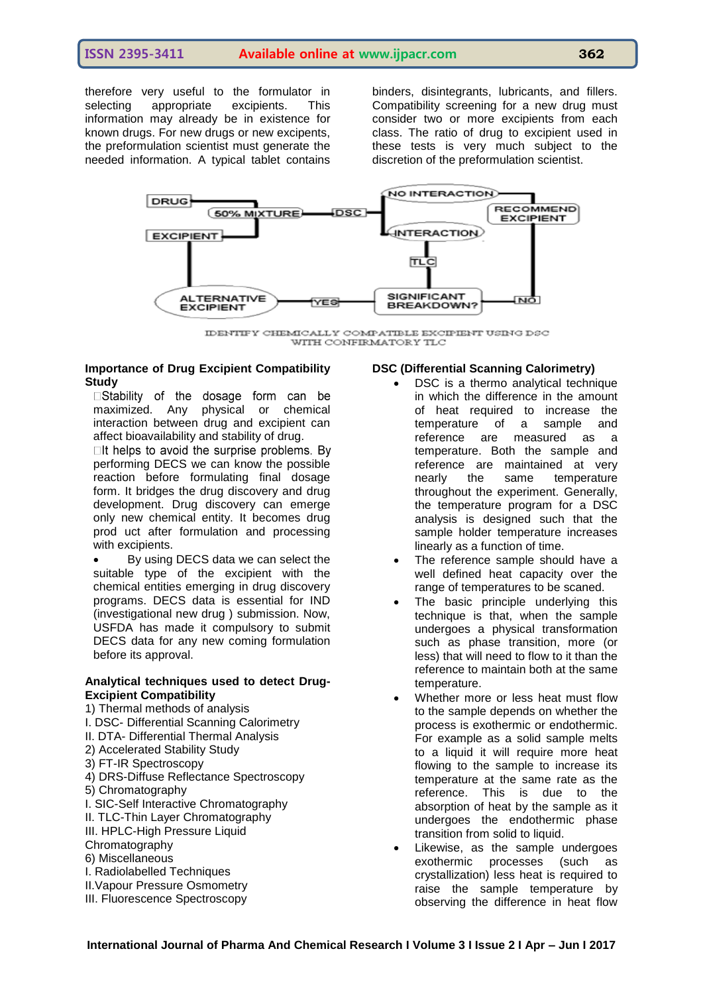therefore very useful to the formulator in selecting appropriate excipients. This information may already be in existence for known drugs. For new drugs or new excipents, the preformulation scientist must generate the needed information. A typical tablet contains

binders, disintegrants, lubricants, and fillers. Compatibility screening for a new drug must consider two or more excipients from each class. The ratio of drug to excipient used in these tests is very much subject to the discretion of the preformulation scientist.



IDENTIFY CHEMICALLY COMPATIBLE EXCIPIENT USING DSC WITH CONFIRMATORY TLC

# **Importance of Drug Excipient Compatibility Study**<br> **Stability** of the dosage form can be

maximized. Any physical or chemical interaction between drug and excipient can affect bioavailability and stability of drug.

 $\Box$ It helps to avoid the surprise problems. By performing DECS we can know the possible reaction before formulating final dosage form. It bridges the drug discovery and drug development. Drug discovery can emerge only new chemical entity. It becomes drug prod uct after formulation and processing with excipients.

 By using DECS data we can select the suitable type of the excipient with the chemical entities emerging in drug discovery programs. DECS data is essential for IND (investigational new drug ) submission. Now, USFDA has made it compulsory to submit DECS data for any new coming formulation before its approval.

# **Analytical techniques used to detect Drug-Excipient Compatibility**

1) Thermal methods of analysis

- I. DSC- Differential Scanning Calorimetry
- II. DTA- Differential Thermal Analysis
- 2) Accelerated Stability Study
- 3) FT-IR Spectroscopy
- 4) DRS-Diffuse Reflectance Spectroscopy
- 5) Chromatography
- I. SIC-Self Interactive Chromatography
- II. TLC-Thin Layer Chromatography
- III. HPLC-High Pressure Liquid
- Chromatography
- 6) Miscellaneous
- I. Radiolabelled Techniques
- II.Vapour Pressure Osmometry
- III. Fluorescence Spectroscopy

# **DSC (Differential Scanning Calorimetry)**

- DSC is a thermo analytical technique in which the difference in the amount of heat required to increase the temperature of a sample and reference are measured as a temperature. Both the sample and reference are maintained at very nearly the same temperature throughout the experiment. Generally, the temperature program for a DSC analysis is designed such that the sample holder temperature increases linearly as a function of time.
- The reference sample should have a well defined heat capacity over the range of temperatures to be scaned.
- The basic principle underlying this technique is that, when the sample undergoes a physical transformation such as phase transition, more (or less) that will need to flow to it than the reference to maintain both at the same temperature.
- Whether more or less heat must flow to the sample depends on whether the process is exothermic or endothermic. For example as a solid sample melts to a liquid it will require more heat flowing to the sample to increase its temperature at the same rate as the reference. This is due to the absorption of heat by the sample as it undergoes the endothermic phase transition from solid to liquid.
- Likewise, as the sample undergoes exothermic processes (such as crystallization) less heat is required to raise the sample temperature by observing the difference in heat flow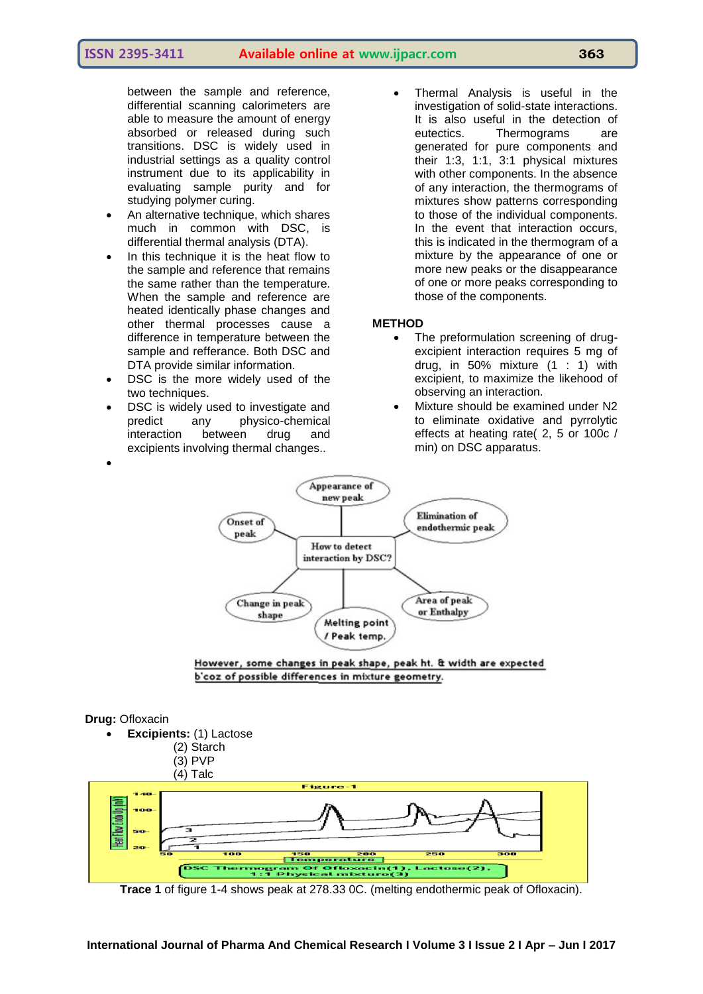between the sample and reference, differential scanning calorimeters are able to measure the amount of energy absorbed or released during such transitions. DSC is widely used in industrial settings as a quality control instrument due to its applicability in evaluating sample purity and for studying polymer curing.

- An alternative technique, which shares much in common with DSC, is differential thermal analysis (DTA).
- In this technique it is the heat flow to the sample and reference that remains the same rather than the temperature. When the sample and reference are heated identically phase changes and other thermal processes cause a difference in temperature between the sample and refferance. Both DSC and DTA provide similar information.
- DSC is the more widely used of the two techniques.
- DSC is widely used to investigate and predict any physico-chemical interaction between drug and excipients involving thermal changes..

 Thermal Analysis is useful in the investigation of solid-state interactions. It is also useful in the detection of eutectics. Thermograms are generated for pure components and their 1:3, 1:1, 3:1 physical mixtures with other components. In the absence of any interaction, the thermograms of mixtures show patterns corresponding to those of the individual components. In the event that interaction occurs, this is indicated in the thermogram of a mixture by the appearance of one or more new peaks or the disappearance of one or more peaks corresponding to those of the components.

#### **METHOD**

- The preformulation screening of drugexcipient interaction requires 5 mg of drug, in 50% mixture (1 : 1) with excipient, to maximize the likehood of observing an interaction.
- Mixture should be examined under N2 to eliminate oxidative and pyrrolytic effects at heating rate( 2, 5 or 100c / min) on DSC apparatus.



However, some changes in peak shape, peak ht. & width are expected b'coz of possible differences in mixture geometry.

#### **Drug:** Ofloxacin

 $\bullet$ 



**Trace 1** of figure 1-4 shows peak at 278.33 0C. (melting endothermic peak of Ofloxacin).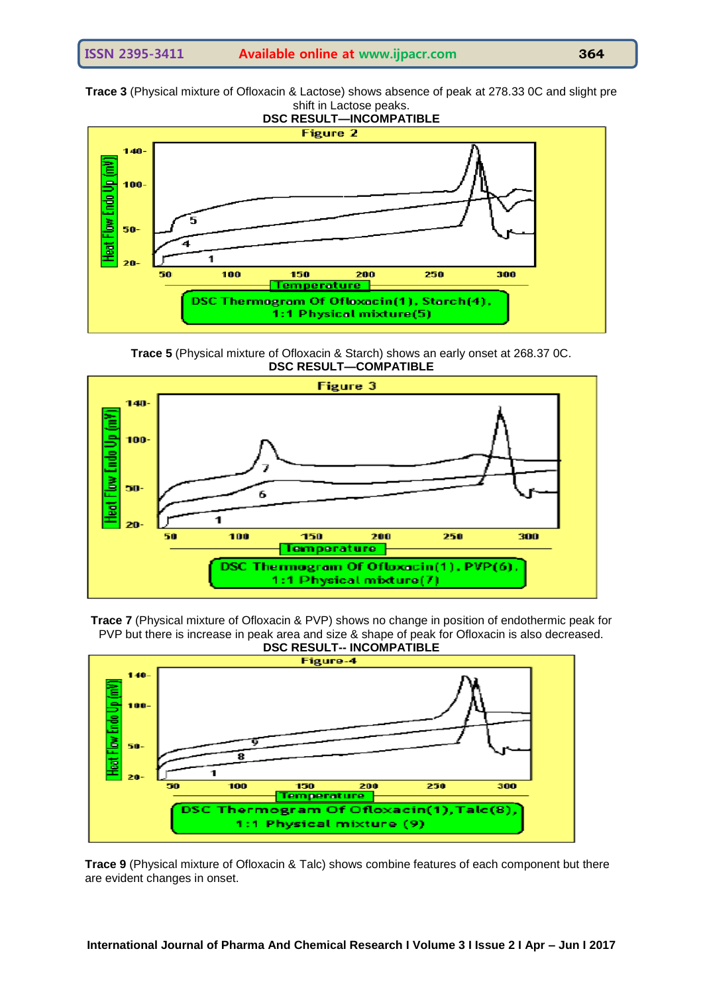**Trace 3** (Physical mixture of Ofloxacin & Lactose) shows absence of peak at 278.33 0C and slight pre shift in Lactose peaks.



**Trace 5** (Physical mixture of Ofloxacin & Starch) shows an early onset at 268.37 0C. **DSC RESULT—COMPATIBLE**







**Trace 9** (Physical mixture of Ofloxacin & Talc) shows combine features of each component but there are evident changes in onset.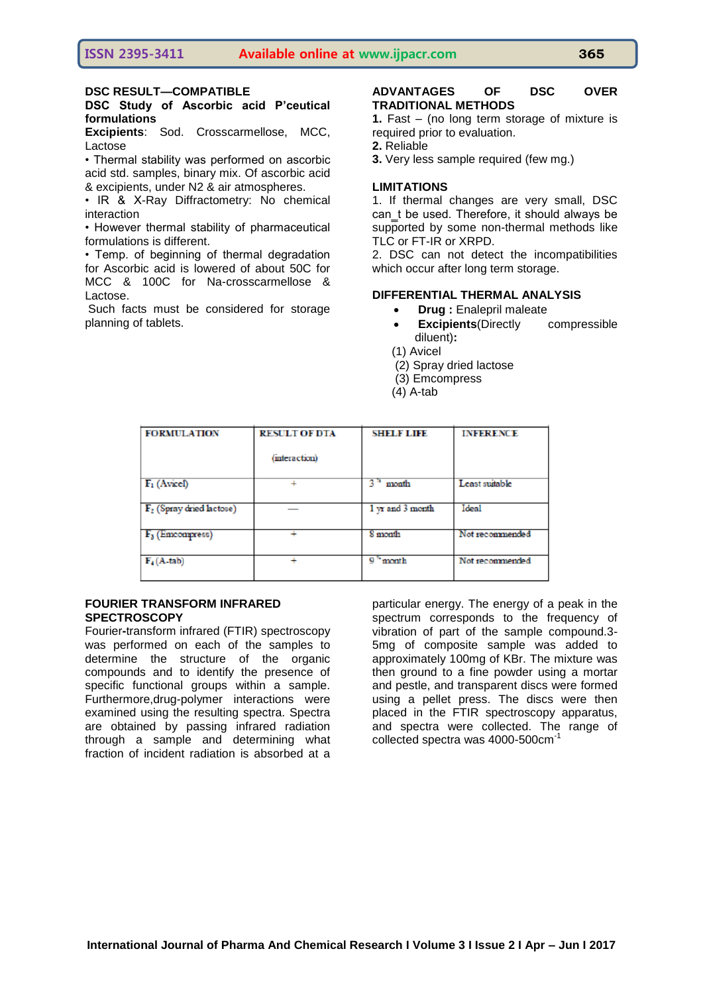#### **DSC Study of Ascorbic acid P'ceutical formulations**

**Excipients**: Sod. Crosscarmellose, MCC, Lactose

• Thermal stability was performed on ascorbic acid std. samples, binary mix. Of ascorbic acid & excipients, under N2 & air atmospheres.

• IR & X-Ray Diffractometry: No chemical interaction

• However thermal stability of pharmaceutical formulations is different.

• Temp. of beginning of thermal degradation for Ascorbic acid is lowered of about 50C for MCC & 100C for Na-crosscarmellose & Lactose.

Such facts must be considered for storage planning of tablets.

#### **ADVANTAGES OF DSC OVER TRADITIONAL METHODS**

**1.** Fast – (no long term storage of mixture is required prior to evaluation.

- **2.** Reliable
- **3.** Very less sample required (few mg.)

#### **LIMITATIONS**

1. If thermal changes are very small, DSC can t be used. Therefore, it should always be supported by some non-thermal methods like TLC or FT-IR or XRPD.

2. DSC can not detect the incompatibilities which occur after long term storage.

#### **DIFFERENTIAL THERMAL ANALYSIS**

- **Drug :** Enalepril maleate
- **Excipients**(Directly compressible diluent)**:**
- (1) Avicel
- (2) Spray dried lactose
- (3) Emcompress
- (4) A-tab

| <b>FORMULATION</b>                   | <b>RESULT OF DTA</b> | <b>SHELF LIFE</b> | <b>INFERENCE</b> |
|--------------------------------------|----------------------|-------------------|------------------|
|                                      | (interaction)        |                   |                  |
| $F_1$ (Avicel)                       |                      | $33$ month        | Least suitable   |
| $\mathbf{F}_2$ (Spray dried lactose) |                      | 1 yr and 3 month  | Ideal            |
| $F3$ (Emcompress)                    |                      | 8 month           | Not recommended  |
| $F_4(A$ -tab)                        |                      | $9h$ month        | Not recommended  |

#### **FOURIER TRANSFORM INFRARED SPECTROSCOPY**

Fourier**-**transform infrared (FTIR) spectroscopy was performed on each of the samples to determine the structure of the organic compounds and to identify the presence of specific functional groups within a sample. Furthermore,drug-polymer interactions were examined using the resulting spectra. Spectra are obtained by passing infrared radiation through a sample and determining what fraction of incident radiation is absorbed at a

particular energy. The energy of a peak in the spectrum corresponds to the frequency of vibration of part of the sample compound.3- 5mg of composite sample was added to approximately 100mg of KBr. The mixture was then ground to a fine powder using a mortar and pestle, and transparent discs were formed using a pellet press. The discs were then placed in the FTIR spectroscopy apparatus, and spectra were collected. The range of collected spectra was 4000-500cm<sup>-1</sup>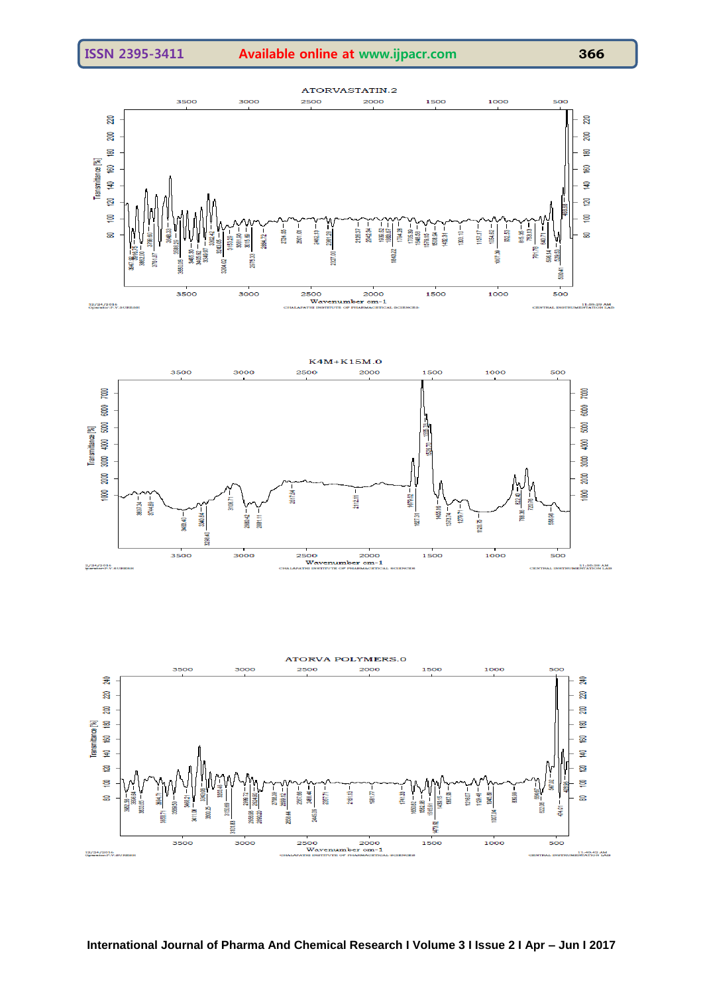



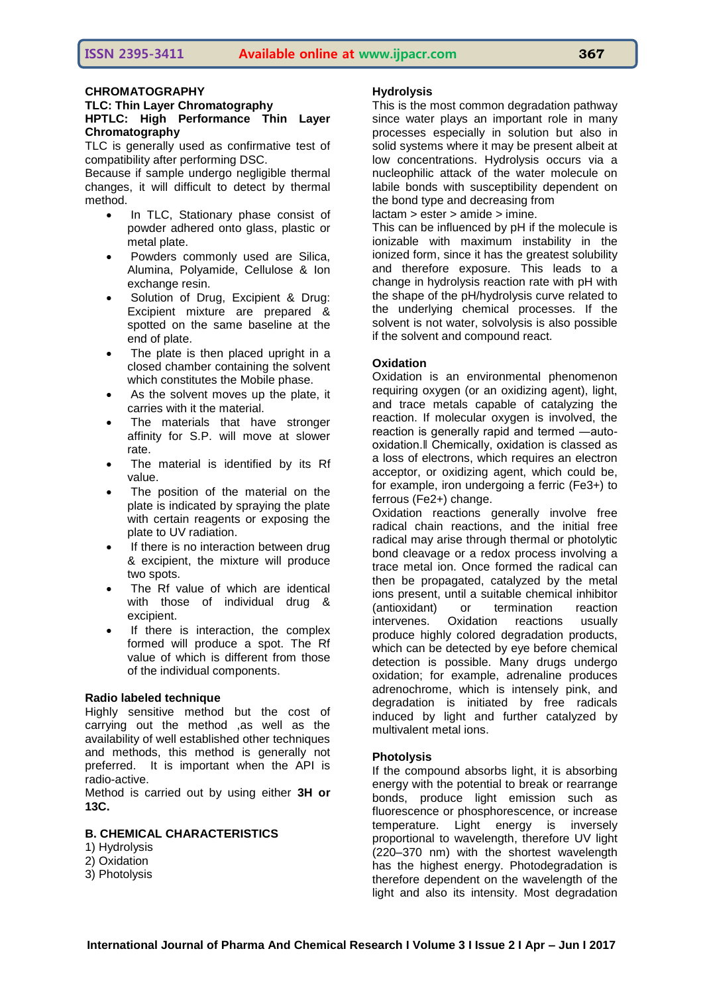#### **CHROMATOGRAPHY**

#### **TLC: Thin Layer Chromatography HPTLC: High Performance Thin Layer Chromatography**

TLC is generally used as confirmative test of compatibility after performing DSC.

Because if sample undergo negligible thermal changes, it will difficult to detect by thermal method.

- In TLC, Stationary phase consist of powder adhered onto glass, plastic or metal plate.
- Powders commonly used are Silica, Alumina, Polyamide, Cellulose & Ion exchange resin.
- Solution of Drug, Excipient & Drug: Excipient mixture are prepared & spotted on the same baseline at the end of plate.
- The plate is then placed upright in a closed chamber containing the solvent which constitutes the Mobile phase.
- As the solvent moves up the plate, it carries with it the material.
- The materials that have stronger affinity for S.P. will move at slower rate.
- The material is identified by its Rf value.
- The position of the material on the plate is indicated by spraying the plate with certain reagents or exposing the plate to UV radiation.
- If there is no interaction between drug & excipient, the mixture will produce two spots.
- The Rf value of which are identical with those of individual drug & excipient.
- If there is interaction, the complex formed will produce a spot. The Rf value of which is different from those of the individual components.

#### **Radio labeled technique**

Highly sensitive method but the cost of carrying out the method ,as well as the availability of well established other techniques and methods, this method is generally not preferred. It is important when the API is radio-active.

Method is carried out by using either **3H or 13C.**

# **B. CHEMICAL CHARACTERISTICS**

- 1) Hydrolysis
- 2) Oxidation
- 3) Photolysis

#### **Hydrolysis**

This is the most common degradation pathway since water plays an important role in many processes especially in solution but also in solid systems where it may be present albeit at low concentrations. Hydrolysis occurs via a nucleophilic attack of the water molecule on labile bonds with susceptibility dependent on the bond type and decreasing from

lactam > ester > amide > imine.

This can be influenced by pH if the molecule is ionizable with maximum instability in the ionized form, since it has the greatest solubility and therefore exposure. This leads to a change in hydrolysis reaction rate with pH with the shape of the pH/hydrolysis curve related to the underlying chemical processes. If the solvent is not water, solvolysis is also possible if the solvent and compound react.

#### **Oxidation**

Oxidation is an environmental phenomenon requiring oxygen (or an oxidizing agent), light, and trace metals capable of catalyzing the reaction. If molecular oxygen is involved, the reaction is generally rapid and termed ―autooxidation.‖ Chemically, oxidation is classed as a loss of electrons, which requires an electron acceptor, or oxidizing agent, which could be, for example, iron undergoing a ferric (Fe3+) to ferrous (Fe2+) change.

Oxidation reactions generally involve free radical chain reactions, and the initial free radical may arise through thermal or photolytic bond cleavage or a redox process involving a trace metal ion. Once formed the radical can then be propagated, catalyzed by the metal ions present, until a suitable chemical inhibitor (antioxidant) or termination reaction intervenes. Oxidation reactions usually produce highly colored degradation products, which can be detected by eye before chemical detection is possible. Many drugs undergo oxidation; for example, adrenaline produces adrenochrome, which is intensely pink, and degradation is initiated by free radicals induced by light and further catalyzed by multivalent metal ions.

#### **Photolysis**

If the compound absorbs light, it is absorbing energy with the potential to break or rearrange bonds, produce light emission such as fluorescence or phosphorescence, or increase temperature. Light energy is inversely proportional to wavelength, therefore UV light (220–370 nm) with the shortest wavelength has the highest energy. Photodegradation is therefore dependent on the wavelength of the light and also its intensity. Most degradation